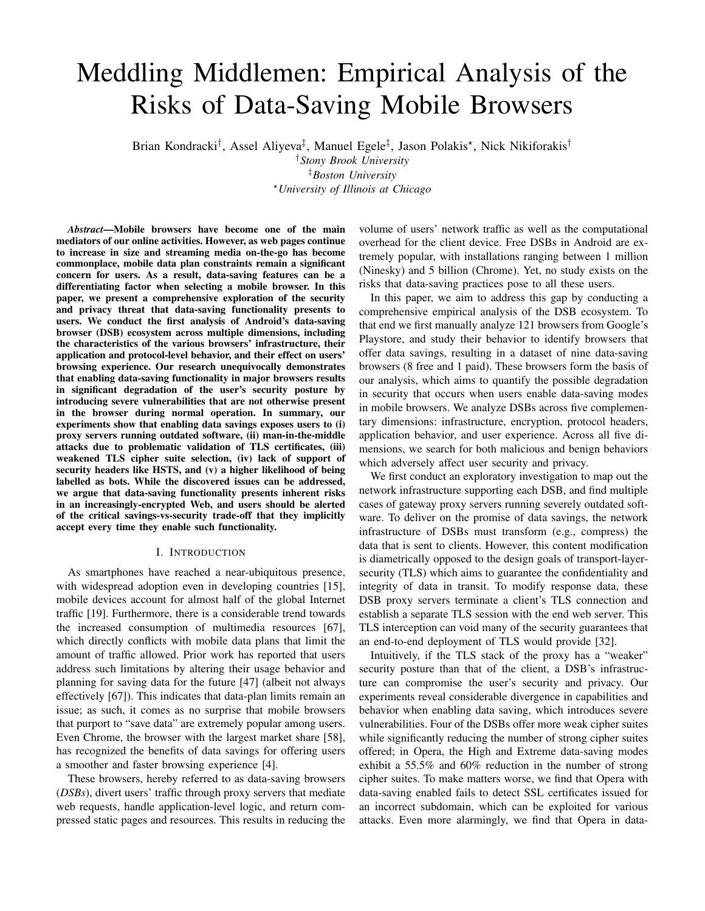# Meddling Middlemen: Empirical Analysis of the Risks of Data-Saving Mobile Browsers

Brian Kondracki<sup>†</sup>, Assel Aliyeva<sup>‡</sup>, Manuel Egele<sup>‡</sup>, Jason Polakis\*, Nick Nikiforakis<sup>†</sup>

†*Stony Brook University* ‡*Boston University*

?*University of Illinois at Chicago*

*Abstract*—Mobile browsers have become one of the main mediators of our online activities. However, as web pages continue to increase in size and streaming media on-the-go has become commonplace, mobile data plan constraints remain a significant concern for users. As a result, data-saving features can be a differentiating factor when selecting a mobile browser. In this paper, we present a comprehensive exploration of the security and privacy threat that data-saving functionality presents to users. We conduct the first analysis of Android's data-saving browser (DSB) ecosystem across multiple dimensions, including the characteristics of the various browsers' infrastructure, their application and protocol-level behavior, and their effect on users' browsing experience. Our research unequivocally demonstrates that enabling data-saving functionality in major browsers results in significant degradation of the user's security posture by introducing severe vulnerabilities that are not otherwise present in the browser during normal operation. In summary, our experiments show that enabling data savings exposes users to (i) proxy servers running outdated software, (ii) man-in-the-middle attacks due to problematic validation of TLS certificates, (iii) weakened TLS cipher suite selection, (iv) lack of support of security headers like HSTS, and (v) a higher likelihood of being labelled as bots. While the discovered issues can be addressed, we argue that data-saving functionality presents inherent risks in an increasingly-encrypted Web, and users should be alerted of the critical savings-vs-security trade-off that they implicitly accept every time they enable such functionality.

#### I. INTRODUCTION

As smartphones have reached a near-ubiquitous presence, with widespread adoption even in developing countries [15], mobile devices account for almost half of the global Internet traffic [19]. Furthermore, there is a considerable trend towards the increased consumption of multimedia resources [67], which directly conflicts with mobile data plans that limit the amount of traffic allowed. Prior work has reported that users address such limitations by altering their usage behavior and planning for saving data for the future [47] (albeit not always effectively [67]). This indicates that data-plan limits remain an issue; as such, it comes as no surprise that mobile browsers that purport to "save data" are extremely popular among users. Even Chrome, the browser with the largest market share [58], has recognized the benefits of data savings for offering users a smoother and faster browsing experience [4].

These browsers, hereby referred to as data-saving browsers (*DSBs*), divert users' traffic through proxy servers that mediate web requests, handle application-level logic, and return compressed static pages and resources. This results in reducing the volume of users' network traffic as well as the computational overhead for the client device. Free DSBs in Android are extremely popular, with installations ranging between 1 million (Ninesky) and 5 billion (Chrome). Yet, no study exists on the risks that data-saving practices pose to all these users.

In this paper, we aim to address this gap by conducting a comprehensive empirical analysis of the DSB ecosystem. To that end we first manually analyze 121 browsers from Google's Playstore, and study their behavior to identify browsers that offer data savings, resulting in a dataset of nine data-saving browsers (8 free and 1 paid). These browsers form the basis of our analysis, which aims to quantify the possible degradation in security that occurs when users enable data-saving modes in mobile browsers. We analyze DSBs across five complementary dimensions: infrastructure, encryption, protocol headers, application behavior, and user experience. Across all five dimensions, we search for both malicious and benign behaviors which adversely affect user security and privacy.

We first conduct an exploratory investigation to map out the network infrastructure supporting each DSB, and find multiple cases of gateway proxy servers running severely outdated software. To deliver on the promise of data savings, the network infrastructure of DSBs must transform (e.g., compress) the data that is sent to clients. However, this content modification is diametrically opposed to the design goals of transport-layersecurity (TLS) which aims to guarantee the confidentiality and integrity of data in transit. To modify response data, these DSB proxy servers terminate a client's TLS connection and establish a separate TLS session with the end web server. This TLS interception can void many of the security guarantees that an end-to-end deployment of TLS would provide [32].

Intuitively, if the TLS stack of the proxy has a "weaker" security posture than that of the client, a DSB's infrastructure can compromise the user's security and privacy. Our experiments reveal considerable divergence in capabilities and behavior when enabling data saving, which introduces severe vulnerabilities. Four of the DSBs offer more weak cipher suites while significantly reducing the number of strong cipher suites offered; in Opera, the High and Extreme data-saving modes exhibit a 55.5% and 60% reduction in the number of strong cipher suites. To make matters worse, we find that Opera with data-saving enabled fails to detect SSL certificates issued for an incorrect subdomain, which can be exploited for various attacks. Even more alarmingly, we find that Opera in data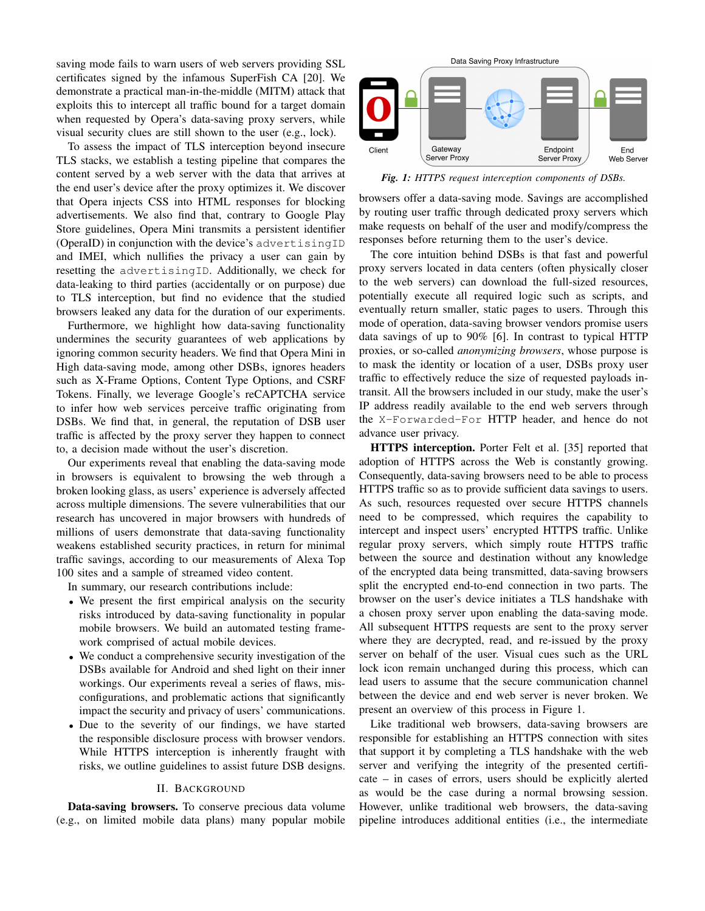saving mode fails to warn users of web servers providing SSL certificates signed by the infamous SuperFish CA [20]. We demonstrate a practical man-in-the-middle (MITM) attack that exploits this to intercept all traffic bound for a target domain when requested by Opera's data-saving proxy servers, while visual security clues are still shown to the user (e.g., lock).

To assess the impact of TLS interception beyond insecure TLS stacks, we establish a testing pipeline that compares the content served by a web server with the data that arrives at the end user's device after the proxy optimizes it. We discover that Opera injects CSS into HTML responses for blocking advertisements. We also find that, contrary to Google Play Store guidelines, Opera Mini transmits a persistent identifier (OperaID) in conjunction with the device's advertisingID and IMEI, which nullifies the privacy a user can gain by resetting the advertisingID. Additionally, we check for data-leaking to third parties (accidentally or on purpose) due to TLS interception, but find no evidence that the studied browsers leaked any data for the duration of our experiments.

Furthermore, we highlight how data-saving functionality undermines the security guarantees of web applications by ignoring common security headers. We find that Opera Mini in High data-saving mode, among other DSBs, ignores headers such as X-Frame Options, Content Type Options, and CSRF Tokens. Finally, we leverage Google's reCAPTCHA service to infer how web services perceive traffic originating from DSBs. We find that, in general, the reputation of DSB user traffic is affected by the proxy server they happen to connect to, a decision made without the user's discretion.

Our experiments reveal that enabling the data-saving mode in browsers is equivalent to browsing the web through a broken looking glass, as users' experience is adversely affected across multiple dimensions. The severe vulnerabilities that our research has uncovered in major browsers with hundreds of millions of users demonstrate that data-saving functionality weakens established security practices, in return for minimal traffic savings, according to our measurements of Alexa Top 100 sites and a sample of streamed video content.

In summary, our research contributions include:

- We present the first empirical analysis on the security risks introduced by data-saving functionality in popular mobile browsers. We build an automated testing framework comprised of actual mobile devices.
- We conduct a comprehensive security investigation of the DSBs available for Android and shed light on their inner workings. Our experiments reveal a series of flaws, misconfigurations, and problematic actions that significantly impact the security and privacy of users' communications.
- Due to the severity of our findings, we have started the responsible disclosure process with browser vendors. While HTTPS interception is inherently fraught with risks, we outline guidelines to assist future DSB designs.

# II. BACKGROUND

Data-saving browsers. To conserve precious data volume (e.g., on limited mobile data plans) many popular mobile



*Fig. 1: HTTPS request interception components of DSBs.*

browsers offer a data-saving mode. Savings are accomplished by routing user traffic through dedicated proxy servers which make requests on behalf of the user and modify/compress the responses before returning them to the user's device.

The core intuition behind DSBs is that fast and powerful proxy servers located in data centers (often physically closer to the web servers) can download the full-sized resources, potentially execute all required logic such as scripts, and eventually return smaller, static pages to users. Through this mode of operation, data-saving browser vendors promise users data savings of up to 90% [6]. In contrast to typical HTTP proxies, or so-called *anonymizing browsers*, whose purpose is to mask the identity or location of a user, DSBs proxy user traffic to effectively reduce the size of requested payloads intransit. All the browsers included in our study, make the user's IP address readily available to the end web servers through the X-Forwarded-For HTTP header, and hence do not advance user privacy.

HTTPS interception. Porter Felt et al. [35] reported that adoption of HTTPS across the Web is constantly growing. Consequently, data-saving browsers need to be able to process HTTPS traffic so as to provide sufficient data savings to users. As such, resources requested over secure HTTPS channels need to be compressed, which requires the capability to intercept and inspect users' encrypted HTTPS traffic. Unlike regular proxy servers, which simply route HTTPS traffic between the source and destination without any knowledge of the encrypted data being transmitted, data-saving browsers split the encrypted end-to-end connection in two parts. The browser on the user's device initiates a TLS handshake with a chosen proxy server upon enabling the data-saving mode. All subsequent HTTPS requests are sent to the proxy server where they are decrypted, read, and re-issued by the proxy server on behalf of the user. Visual cues such as the URL lock icon remain unchanged during this process, which can lead users to assume that the secure communication channel between the device and end web server is never broken. We present an overview of this process in Figure 1.

Like traditional web browsers, data-saving browsers are responsible for establishing an HTTPS connection with sites that support it by completing a TLS handshake with the web server and verifying the integrity of the presented certificate – in cases of errors, users should be explicitly alerted as would be the case during a normal browsing session. However, unlike traditional web browsers, the data-saving pipeline introduces additional entities (i.e., the intermediate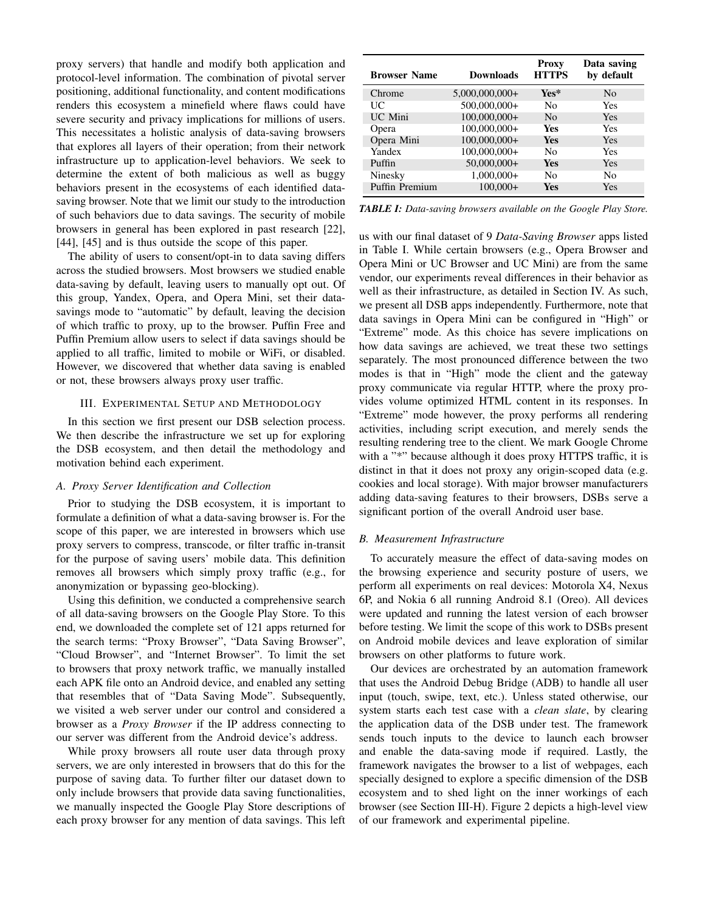proxy servers) that handle and modify both application and protocol-level information. The combination of pivotal server positioning, additional functionality, and content modifications renders this ecosystem a minefield where flaws could have severe security and privacy implications for millions of users. This necessitates a holistic analysis of data-saving browsers that explores all layers of their operation; from their network infrastructure up to application-level behaviors. We seek to determine the extent of both malicious as well as buggy behaviors present in the ecosystems of each identified datasaving browser. Note that we limit our study to the introduction of such behaviors due to data savings. The security of mobile browsers in general has been explored in past research [22], [44], [45] and is thus outside the scope of this paper.

The ability of users to consent/opt-in to data saving differs across the studied browsers. Most browsers we studied enable data-saving by default, leaving users to manually opt out. Of this group, Yandex, Opera, and Opera Mini, set their datasavings mode to "automatic" by default, leaving the decision of which traffic to proxy, up to the browser. Puffin Free and Puffin Premium allow users to select if data savings should be applied to all traffic, limited to mobile or WiFi, or disabled. However, we discovered that whether data saving is enabled or not, these browsers always proxy user traffic.

# III. EXPERIMENTAL SETUP AND METHODOLOGY

In this section we first present our DSB selection process. We then describe the infrastructure we set up for exploring the DSB ecosystem, and then detail the methodology and motivation behind each experiment.

# *A. Proxy Server Identification and Collection*

Prior to studying the DSB ecosystem, it is important to formulate a definition of what a data-saving browser is. For the scope of this paper, we are interested in browsers which use proxy servers to compress, transcode, or filter traffic in-transit for the purpose of saving users' mobile data. This definition removes all browsers which simply proxy traffic (e.g., for anonymization or bypassing geo-blocking).

Using this definition, we conducted a comprehensive search of all data-saving browsers on the Google Play Store. To this end, we downloaded the complete set of 121 apps returned for the search terms: "Proxy Browser", "Data Saving Browser", "Cloud Browser", and "Internet Browser". To limit the set to browsers that proxy network traffic, we manually installed each APK file onto an Android device, and enabled any setting that resembles that of "Data Saving Mode". Subsequently, we visited a web server under our control and considered a browser as a *Proxy Browser* if the IP address connecting to our server was different from the Android device's address.

While proxy browsers all route user data through proxy servers, we are only interested in browsers that do this for the purpose of saving data. To further filter our dataset down to only include browsers that provide data saving functionalities, we manually inspected the Google Play Store descriptions of each proxy browser for any mention of data savings. This left

| <b>Browser Name</b> | <b>Downloads</b> | <b>Proxy</b><br><b>HTTPS</b> | Data saving<br>by default |
|---------------------|------------------|------------------------------|---------------------------|
| Chrome              | $5,000,000,000+$ | Yes*                         | No                        |
| UC                  | 500,000,000+     | N <sub>0</sub>               | Yes                       |
| <b>UC</b> Mini      | $100,000,000+$   | N <sub>0</sub>               | Yes                       |
| Opera               | $100,000,000+$   | Yes                          | Yes                       |
| Opera Mini          | $100,000,000+$   | <b>Yes</b>                   | Yes                       |
| Yandex              | $100,000,000+$   | No                           | Yes                       |
| Puffin              | $50,000,000+$    | <b>Yes</b>                   | Yes                       |
| Ninesky             | $1,000,000+$     | N <sub>0</sub>               | N <sub>0</sub>            |
| Puffin Premium      | $100,000+$       | <b>Yes</b>                   | Yes                       |

*TABLE I: Data-saving browsers available on the Google Play Store.*

us with our final dataset of 9 *Data-Saving Browser* apps listed in Table I. While certain browsers (e.g., Opera Browser and Opera Mini or UC Browser and UC Mini) are from the same vendor, our experiments reveal differences in their behavior as well as their infrastructure, as detailed in Section IV. As such, we present all DSB apps independently. Furthermore, note that data savings in Opera Mini can be configured in "High" or "Extreme" mode. As this choice has severe implications on how data savings are achieved, we treat these two settings separately. The most pronounced difference between the two modes is that in "High" mode the client and the gateway proxy communicate via regular HTTP, where the proxy provides volume optimized HTML content in its responses. In "Extreme" mode however, the proxy performs all rendering activities, including script execution, and merely sends the resulting rendering tree to the client. We mark Google Chrome with a "\*" because although it does proxy HTTPS traffic, it is distinct in that it does not proxy any origin-scoped data (e.g. cookies and local storage). With major browser manufacturers adding data-saving features to their browsers, DSBs serve a significant portion of the overall Android user base.

#### *B. Measurement Infrastructure*

To accurately measure the effect of data-saving modes on the browsing experience and security posture of users, we perform all experiments on real devices: Motorola X4, Nexus 6P, and Nokia 6 all running Android 8.1 (Oreo). All devices were updated and running the latest version of each browser before testing. We limit the scope of this work to DSBs present on Android mobile devices and leave exploration of similar browsers on other platforms to future work.

Our devices are orchestrated by an automation framework that uses the Android Debug Bridge (ADB) to handle all user input (touch, swipe, text, etc.). Unless stated otherwise, our system starts each test case with a *clean slate*, by clearing the application data of the DSB under test. The framework sends touch inputs to the device to launch each browser and enable the data-saving mode if required. Lastly, the framework navigates the browser to a list of webpages, each specially designed to explore a specific dimension of the DSB ecosystem and to shed light on the inner workings of each browser (see Section III-H). Figure 2 depicts a high-level view of our framework and experimental pipeline.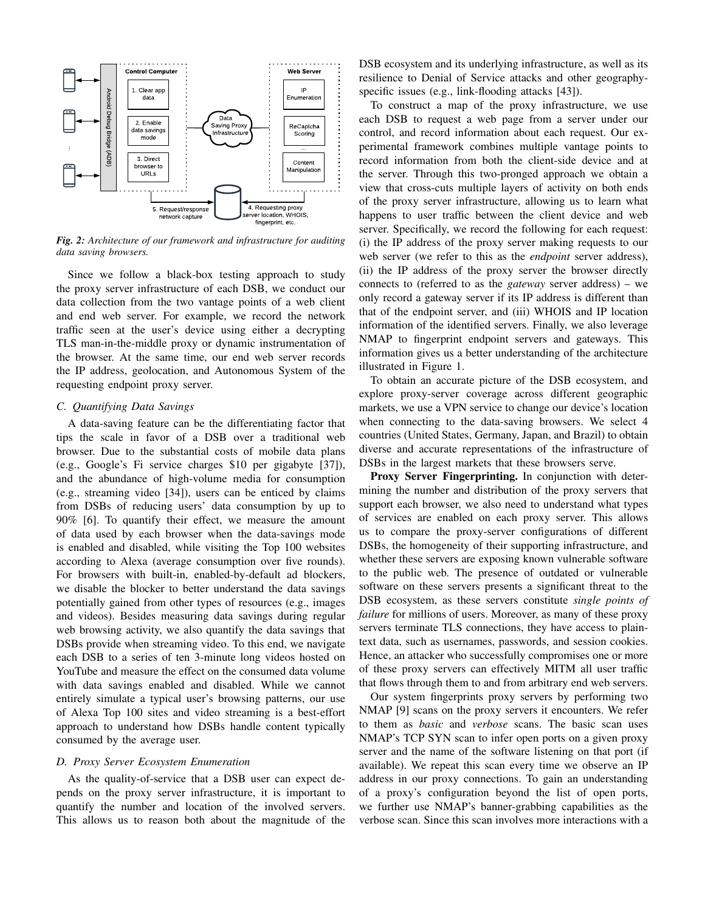

*Fig. 2: Architecture of our framework and infrastructure for auditing data saving browsers.*

Since we follow a black-box testing approach to study the proxy server infrastructure of each DSB, we conduct our data collection from the two vantage points of a web client and end web server. For example, we record the network traffic seen at the user's device using either a decrypting TLS man-in-the-middle proxy or dynamic instrumentation of the browser. At the same time, our end web server records the IP address, geolocation, and Autonomous System of the requesting endpoint proxy server.

#### *C. Quantifying Data Savings*

A data-saving feature can be the differentiating factor that tips the scale in favor of a DSB over a traditional web browser. Due to the substantial costs of mobile data plans (e.g., Google's Fi service charges \$10 per gigabyte [37]), and the abundance of high-volume media for consumption (e.g., streaming video [34]), users can be enticed by claims from DSBs of reducing users' data consumption by up to 90% [6]. To quantify their effect, we measure the amount of data used by each browser when the data-savings mode is enabled and disabled, while visiting the Top 100 websites according to Alexa (average consumption over five rounds). For browsers with built-in, enabled-by-default ad blockers, we disable the blocker to better understand the data savings potentially gained from other types of resources (e.g., images and videos). Besides measuring data savings during regular web browsing activity, we also quantify the data savings that DSBs provide when streaming video. To this end, we navigate each DSB to a series of ten 3-minute long videos hosted on YouTube and measure the effect on the consumed data volume with data savings enabled and disabled. While we cannot entirely simulate a typical user's browsing patterns, our use of Alexa Top 100 sites and video streaming is a best-effort approach to understand how DSBs handle content typically consumed by the average user.

## *D. Proxy Server Ecosystem Enumeration*

As the quality-of-service that a DSB user can expect depends on the proxy server infrastructure, it is important to quantify the number and location of the involved servers. This allows us to reason both about the magnitude of the

DSB ecosystem and its underlying infrastructure, as well as its resilience to Denial of Service attacks and other geographyspecific issues (e.g., link-flooding attacks [43]).

To construct a map of the proxy infrastructure, we use each DSB to request a web page from a server under our control, and record information about each request. Our experimental framework combines multiple vantage points to record information from both the client-side device and at the server. Through this two-pronged approach we obtain a view that cross-cuts multiple layers of activity on both ends of the proxy server infrastructure, allowing us to learn what happens to user traffic between the client device and web server. Specifically, we record the following for each request: (i) the IP address of the proxy server making requests to our web server (we refer to this as the *endpoint* server address), (ii) the IP address of the proxy server the browser directly connects to (referred to as the *gateway* server address) – we only record a gateway server if its IP address is different than that of the endpoint server, and (iii) WHOIS and IP location information of the identified servers. Finally, we also leverage NMAP to fingerprint endpoint servers and gateways. This information gives us a better understanding of the architecture illustrated in Figure 1.

To obtain an accurate picture of the DSB ecosystem, and explore proxy-server coverage across different geographic markets, we use a VPN service to change our device's location when connecting to the data-saving browsers. We select 4 countries (United States, Germany, Japan, and Brazil) to obtain diverse and accurate representations of the infrastructure of DSBs in the largest markets that these browsers serve.

Proxy Server Fingerprinting. In conjunction with determining the number and distribution of the proxy servers that support each browser, we also need to understand what types of services are enabled on each proxy server. This allows us to compare the proxy-server configurations of different DSBs, the homogeneity of their supporting infrastructure, and whether these servers are exposing known vulnerable software to the public web. The presence of outdated or vulnerable software on these servers presents a significant threat to the DSB ecosystem, as these servers constitute *single points of failure* for millions of users. Moreover, as many of these proxy servers terminate TLS connections, they have access to plaintext data, such as usernames, passwords, and session cookies. Hence, an attacker who successfully compromises one or more of these proxy servers can effectively MITM all user traffic that flows through them to and from arbitrary end web servers.

Our system fingerprints proxy servers by performing two NMAP [9] scans on the proxy servers it encounters. We refer to them as *basic* and *verbose* scans. The basic scan uses NMAP's TCP SYN scan to infer open ports on a given proxy server and the name of the software listening on that port (if available). We repeat this scan every time we observe an IP address in our proxy connections. To gain an understanding of a proxy's configuration beyond the list of open ports, we further use NMAP's banner-grabbing capabilities as the verbose scan. Since this scan involves more interactions with a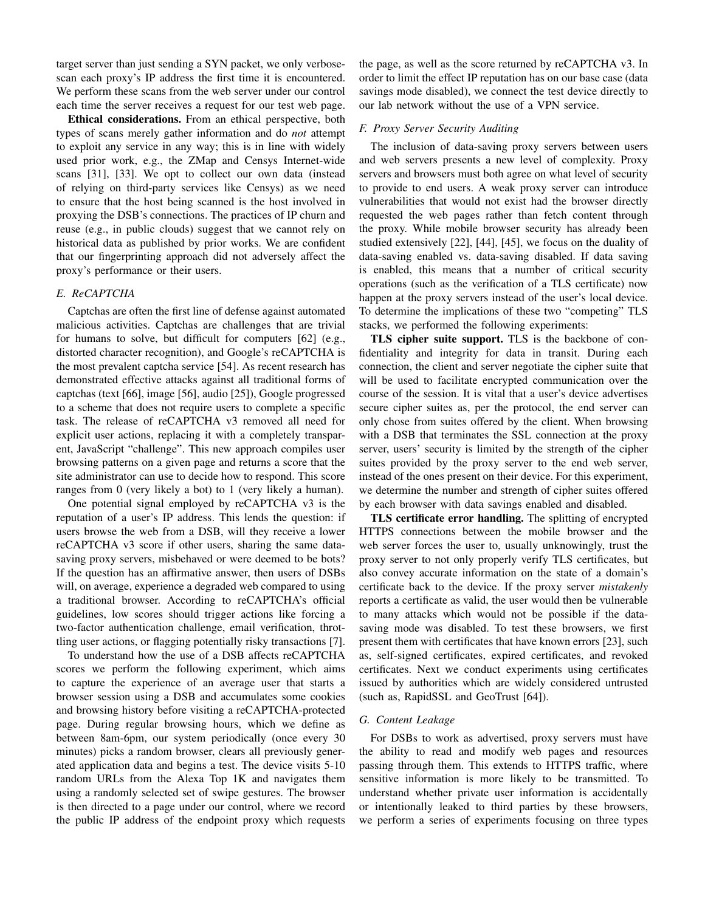target server than just sending a SYN packet, we only verbosescan each proxy's IP address the first time it is encountered. We perform these scans from the web server under our control each time the server receives a request for our test web page.

Ethical considerations. From an ethical perspective, both types of scans merely gather information and do *not* attempt to exploit any service in any way; this is in line with widely used prior work, e.g., the ZMap and Censys Internet-wide scans [31], [33]. We opt to collect our own data (instead of relying on third-party services like Censys) as we need to ensure that the host being scanned is the host involved in proxying the DSB's connections. The practices of IP churn and reuse (e.g., in public clouds) suggest that we cannot rely on historical data as published by prior works. We are confident that our fingerprinting approach did not adversely affect the proxy's performance or their users.

# *E. ReCAPTCHA*

Captchas are often the first line of defense against automated malicious activities. Captchas are challenges that are trivial for humans to solve, but difficult for computers [62] (e.g., distorted character recognition), and Google's reCAPTCHA is the most prevalent captcha service [54]. As recent research has demonstrated effective attacks against all traditional forms of captchas (text [66], image [56], audio [25]), Google progressed to a scheme that does not require users to complete a specific task. The release of reCAPTCHA v3 removed all need for explicit user actions, replacing it with a completely transparent, JavaScript "challenge". This new approach compiles user browsing patterns on a given page and returns a score that the site administrator can use to decide how to respond. This score ranges from 0 (very likely a bot) to 1 (very likely a human).

One potential signal employed by reCAPTCHA v3 is the reputation of a user's IP address. This lends the question: if users browse the web from a DSB, will they receive a lower reCAPTCHA v3 score if other users, sharing the same datasaving proxy servers, misbehaved or were deemed to be bots? If the question has an affirmative answer, then users of DSBs will, on average, experience a degraded web compared to using a traditional browser. According to reCAPTCHA's official guidelines, low scores should trigger actions like forcing a two-factor authentication challenge, email verification, throttling user actions, or flagging potentially risky transactions [7].

To understand how the use of a DSB affects reCAPTCHA scores we perform the following experiment, which aims to capture the experience of an average user that starts a browser session using a DSB and accumulates some cookies and browsing history before visiting a reCAPTCHA-protected page. During regular browsing hours, which we define as between 8am-6pm, our system periodically (once every 30 minutes) picks a random browser, clears all previously generated application data and begins a test. The device visits 5-10 random URLs from the Alexa Top 1K and navigates them using a randomly selected set of swipe gestures. The browser is then directed to a page under our control, where we record the public IP address of the endpoint proxy which requests the page, as well as the score returned by reCAPTCHA v3. In order to limit the effect IP reputation has on our base case (data savings mode disabled), we connect the test device directly to our lab network without the use of a VPN service.

# *F. Proxy Server Security Auditing*

The inclusion of data-saving proxy servers between users and web servers presents a new level of complexity. Proxy servers and browsers must both agree on what level of security to provide to end users. A weak proxy server can introduce vulnerabilities that would not exist had the browser directly requested the web pages rather than fetch content through the proxy. While mobile browser security has already been studied extensively [22], [44], [45], we focus on the duality of data-saving enabled vs. data-saving disabled. If data saving is enabled, this means that a number of critical security operations (such as the verification of a TLS certificate) now happen at the proxy servers instead of the user's local device. To determine the implications of these two "competing" TLS stacks, we performed the following experiments:

TLS cipher suite support. TLS is the backbone of confidentiality and integrity for data in transit. During each connection, the client and server negotiate the cipher suite that will be used to facilitate encrypted communication over the course of the session. It is vital that a user's device advertises secure cipher suites as, per the protocol, the end server can only chose from suites offered by the client. When browsing with a DSB that terminates the SSL connection at the proxy server, users' security is limited by the strength of the cipher suites provided by the proxy server to the end web server, instead of the ones present on their device. For this experiment, we determine the number and strength of cipher suites offered by each browser with data savings enabled and disabled.

TLS certificate error handling. The splitting of encrypted HTTPS connections between the mobile browser and the web server forces the user to, usually unknowingly, trust the proxy server to not only properly verify TLS certificates, but also convey accurate information on the state of a domain's certificate back to the device. If the proxy server *mistakenly* reports a certificate as valid, the user would then be vulnerable to many attacks which would not be possible if the datasaving mode was disabled. To test these browsers, we first present them with certificates that have known errors [23], such as, self-signed certificates, expired certificates, and revoked certificates. Next we conduct experiments using certificates issued by authorities which are widely considered untrusted (such as, RapidSSL and GeoTrust [64]).

# *G. Content Leakage*

For DSBs to work as advertised, proxy servers must have the ability to read and modify web pages and resources passing through them. This extends to HTTPS traffic, where sensitive information is more likely to be transmitted. To understand whether private user information is accidentally or intentionally leaked to third parties by these browsers, we perform a series of experiments focusing on three types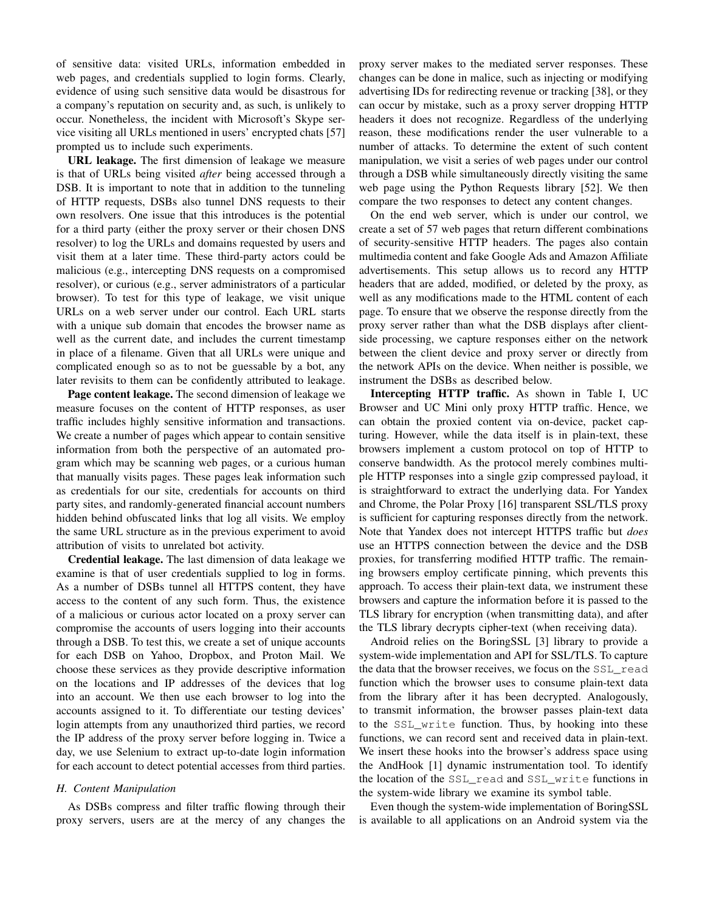of sensitive data: visited URLs, information embedded in web pages, and credentials supplied to login forms. Clearly, evidence of using such sensitive data would be disastrous for a company's reputation on security and, as such, is unlikely to occur. Nonetheless, the incident with Microsoft's Skype service visiting all URLs mentioned in users' encrypted chats [57] prompted us to include such experiments.

URL leakage. The first dimension of leakage we measure is that of URLs being visited *after* being accessed through a DSB. It is important to note that in addition to the tunneling of HTTP requests, DSBs also tunnel DNS requests to their own resolvers. One issue that this introduces is the potential for a third party (either the proxy server or their chosen DNS resolver) to log the URLs and domains requested by users and visit them at a later time. These third-party actors could be malicious (e.g., intercepting DNS requests on a compromised resolver), or curious (e.g., server administrators of a particular browser). To test for this type of leakage, we visit unique URLs on a web server under our control. Each URL starts with a unique sub domain that encodes the browser name as well as the current date, and includes the current timestamp in place of a filename. Given that all URLs were unique and complicated enough so as to not be guessable by a bot, any later revisits to them can be confidently attributed to leakage.

Page content leakage. The second dimension of leakage we measure focuses on the content of HTTP responses, as user traffic includes highly sensitive information and transactions. We create a number of pages which appear to contain sensitive information from both the perspective of an automated program which may be scanning web pages, or a curious human that manually visits pages. These pages leak information such as credentials for our site, credentials for accounts on third party sites, and randomly-generated financial account numbers hidden behind obfuscated links that log all visits. We employ the same URL structure as in the previous experiment to avoid attribution of visits to unrelated bot activity.

Credential leakage. The last dimension of data leakage we examine is that of user credentials supplied to log in forms. As a number of DSBs tunnel all HTTPS content, they have access to the content of any such form. Thus, the existence of a malicious or curious actor located on a proxy server can compromise the accounts of users logging into their accounts through a DSB. To test this, we create a set of unique accounts for each DSB on Yahoo, Dropbox, and Proton Mail. We choose these services as they provide descriptive information on the locations and IP addresses of the devices that log into an account. We then use each browser to log into the accounts assigned to it. To differentiate our testing devices' login attempts from any unauthorized third parties, we record the IP address of the proxy server before logging in. Twice a day, we use Selenium to extract up-to-date login information for each account to detect potential accesses from third parties.

# *H. Content Manipulation*

As DSBs compress and filter traffic flowing through their proxy servers, users are at the mercy of any changes the proxy server makes to the mediated server responses. These changes can be done in malice, such as injecting or modifying advertising IDs for redirecting revenue or tracking [38], or they can occur by mistake, such as a proxy server dropping HTTP headers it does not recognize. Regardless of the underlying reason, these modifications render the user vulnerable to a number of attacks. To determine the extent of such content manipulation, we visit a series of web pages under our control through a DSB while simultaneously directly visiting the same web page using the Python Requests library [52]. We then compare the two responses to detect any content changes.

On the end web server, which is under our control, we create a set of 57 web pages that return different combinations of security-sensitive HTTP headers. The pages also contain multimedia content and fake Google Ads and Amazon Affiliate advertisements. This setup allows us to record any HTTP headers that are added, modified, or deleted by the proxy, as well as any modifications made to the HTML content of each page. To ensure that we observe the response directly from the proxy server rather than what the DSB displays after clientside processing, we capture responses either on the network between the client device and proxy server or directly from the network APIs on the device. When neither is possible, we instrument the DSBs as described below.

Intercepting HTTP traffic. As shown in Table I, UC Browser and UC Mini only proxy HTTP traffic. Hence, we can obtain the proxied content via on-device, packet capturing. However, while the data itself is in plain-text, these browsers implement a custom protocol on top of HTTP to conserve bandwidth. As the protocol merely combines multiple HTTP responses into a single gzip compressed payload, it is straightforward to extract the underlying data. For Yandex and Chrome, the Polar Proxy [16] transparent SSL/TLS proxy is sufficient for capturing responses directly from the network. Note that Yandex does not intercept HTTPS traffic but *does* use an HTTPS connection between the device and the DSB proxies, for transferring modified HTTP traffic. The remaining browsers employ certificate pinning, which prevents this approach. To access their plain-text data, we instrument these browsers and capture the information before it is passed to the TLS library for encryption (when transmitting data), and after the TLS library decrypts cipher-text (when receiving data).

Android relies on the BoringSSL [3] library to provide a system-wide implementation and API for SSL/TLS. To capture the data that the browser receives, we focus on the SSL\_read function which the browser uses to consume plain-text data from the library after it has been decrypted. Analogously, to transmit information, the browser passes plain-text data to the SSL\_write function. Thus, by hooking into these functions, we can record sent and received data in plain-text. We insert these hooks into the browser's address space using the AndHook [1] dynamic instrumentation tool. To identify the location of the SSL\_read and SSL\_write functions in the system-wide library we examine its symbol table.

Even though the system-wide implementation of BoringSSL is available to all applications on an Android system via the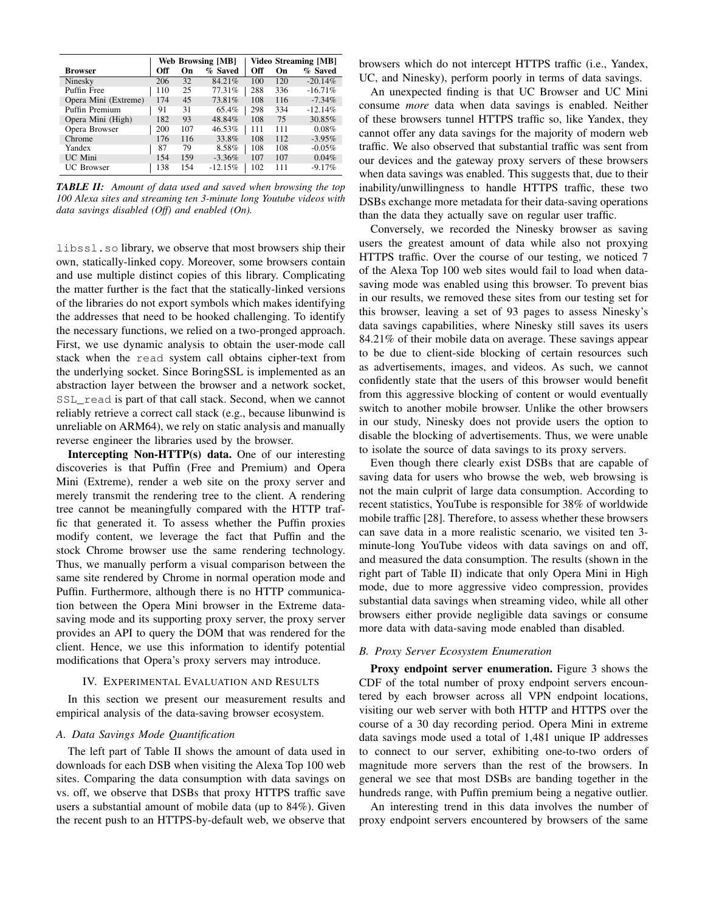|                      |     |     | <b>Web Browsing [MB]</b> | Video Streaming [MB] |     |           |  |  |
|----------------------|-----|-----|--------------------------|----------------------|-----|-----------|--|--|
| <b>Browser</b>       | Off | On. | % Saved                  | Off                  | On  | % Saved   |  |  |
| Ninesky              | 206 | 32  | 84.21%                   | 100                  | 120 | $-20.14%$ |  |  |
| Puffin Free          | 110 | 25  | 77.31%                   | 288                  | 336 | $-16.71%$ |  |  |
| Opera Mini (Extreme) | 174 | 45  | 73.81%                   | 108                  | 116 | $-7.34\%$ |  |  |
| Puffin Premium       | 91  | 31  | 65.4%                    | 298                  | 334 | $-12.14%$ |  |  |
| Opera Mini (High)    | 182 | 93  | 48.84%                   | 108                  | 75  | 30.85%    |  |  |
| Opera Browser        | 200 | 107 | 46.53%                   | 111                  | 111 | 0.08%     |  |  |
| Chrome               | 176 | 116 | 33.8%                    | 108                  | 112 | $-3.95\%$ |  |  |
| Yandex               | 87  | 79  | 8.58%                    | 108                  | 108 | $-0.05\%$ |  |  |
| UC Mini              | 154 | 159 | $-3.36\%$                | 107                  | 107 | 0.04%     |  |  |
| <b>UC</b> Browser    | 138 | 154 | $-12.15%$                | 102                  | 111 | $-9.17%$  |  |  |

*TABLE II: Amount of data used and saved when browsing the top 100 Alexa sites and streaming ten 3-minute long Youtube videos with data savings disabled (Off) and enabled (On).*

libssl.so library, we observe that most browsers ship their own, statically-linked copy. Moreover, some browsers contain and use multiple distinct copies of this library. Complicating the matter further is the fact that the statically-linked versions of the libraries do not export symbols which makes identifying the addresses that need to be hooked challenging. To identify the necessary functions, we relied on a two-pronged approach. First, we use dynamic analysis to obtain the user-mode call stack when the read system call obtains cipher-text from the underlying socket. Since BoringSSL is implemented as an abstraction layer between the browser and a network socket, SSL\_read is part of that call stack. Second, when we cannot reliably retrieve a correct call stack (e.g., because libunwind is unreliable on ARM64), we rely on static analysis and manually reverse engineer the libraries used by the browser.

Intercepting Non-HTTP(s) data. One of our interesting discoveries is that Puffin (Free and Premium) and Opera Mini (Extreme), render a web site on the proxy server and merely transmit the rendering tree to the client. A rendering tree cannot be meaningfully compared with the HTTP traffic that generated it. To assess whether the Puffin proxies modify content, we leverage the fact that Puffin and the stock Chrome browser use the same rendering technology. Thus, we manually perform a visual comparison between the same site rendered by Chrome in normal operation mode and Puffin. Furthermore, although there is no HTTP communication between the Opera Mini browser in the Extreme datasaving mode and its supporting proxy server, the proxy server provides an API to query the DOM that was rendered for the client. Hence, we use this information to identify potential modifications that Opera's proxy servers may introduce.

#### IV. EXPERIMENTAL EVALUATION AND RESULTS

In this section we present our measurement results and empirical analysis of the data-saving browser ecosystem.

# *A. Data Savings Mode Quantification*

The left part of Table II shows the amount of data used in downloads for each DSB when visiting the Alexa Top 100 web sites. Comparing the data consumption with data savings on vs. off, we observe that DSBs that proxy HTTPS traffic save users a substantial amount of mobile data (up to 84%). Given the recent push to an HTTPS-by-default web, we observe that browsers which do not intercept HTTPS traffic (i.e., Yandex, UC, and Ninesky), perform poorly in terms of data savings.

An unexpected finding is that UC Browser and UC Mini consume *more* data when data savings is enabled. Neither of these browsers tunnel HTTPS traffic so, like Yandex, they cannot offer any data savings for the majority of modern web traffic. We also observed that substantial traffic was sent from our devices and the gateway proxy servers of these browsers when data savings was enabled. This suggests that, due to their inability/unwillingness to handle HTTPS traffic, these two DSBs exchange more metadata for their data-saving operations than the data they actually save on regular user traffic.

Conversely, we recorded the Ninesky browser as saving users the greatest amount of data while also not proxying HTTPS traffic. Over the course of our testing, we noticed 7 of the Alexa Top 100 web sites would fail to load when datasaving mode was enabled using this browser. To prevent bias in our results, we removed these sites from our testing set for this browser, leaving a set of 93 pages to assess Ninesky's data savings capabilities, where Ninesky still saves its users 84.21% of their mobile data on average. These savings appear to be due to client-side blocking of certain resources such as advertisements, images, and videos. As such, we cannot confidently state that the users of this browser would benefit from this aggressive blocking of content or would eventually switch to another mobile browser. Unlike the other browsers in our study, Ninesky does not provide users the option to disable the blocking of advertisements. Thus, we were unable to isolate the source of data savings to its proxy servers.

Even though there clearly exist DSBs that are capable of saving data for users who browse the web, web browsing is not the main culprit of large data consumption. According to recent statistics, YouTube is responsible for 38% of worldwide mobile traffic [28]. Therefore, to assess whether these browsers can save data in a more realistic scenario, we visited ten 3 minute-long YouTube videos with data savings on and off, and measured the data consumption. The results (shown in the right part of Table II) indicate that only Opera Mini in High mode, due to more aggressive video compression, provides substantial data savings when streaming video, while all other browsers either provide negligible data savings or consume more data with data-saving mode enabled than disabled.

## *B. Proxy Server Ecosystem Enumeration*

Proxy endpoint server enumeration. Figure 3 shows the CDF of the total number of proxy endpoint servers encountered by each browser across all VPN endpoint locations, visiting our web server with both HTTP and HTTPS over the course of a 30 day recording period. Opera Mini in extreme data savings mode used a total of 1,481 unique IP addresses to connect to our server, exhibiting one-to-two orders of magnitude more servers than the rest of the browsers. In general we see that most DSBs are banding together in the hundreds range, with Puffin premium being a negative outlier.

An interesting trend in this data involves the number of proxy endpoint servers encountered by browsers of the same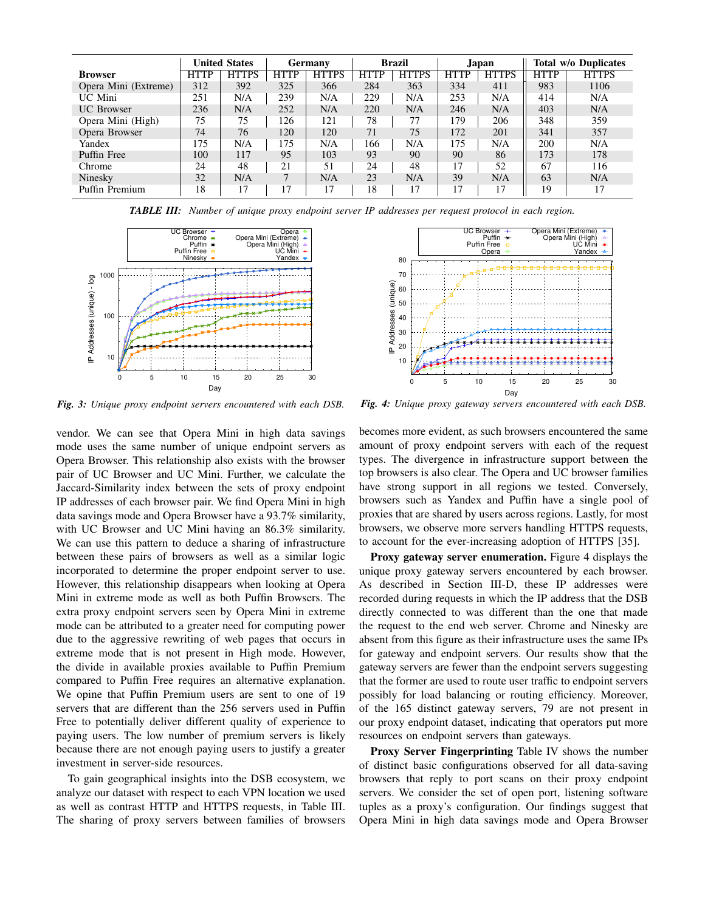|                      | <b>United States</b> |              | <b>Germany</b> |              |     | <b>Brazil</b>               |     | Japan.       | <b>Total w/o Duplicates</b> |              |  |
|----------------------|----------------------|--------------|----------------|--------------|-----|-----------------------------|-----|--------------|-----------------------------|--------------|--|
| <b>Browser</b>       | <b>HTTP</b>          | <b>HTTPS</b> | <b>HTTP</b>    | <b>HTTPS</b> |     | <b>HTTPS</b><br><b>HTTP</b> |     | <b>HTTPS</b> | <b>HTTP</b>                 | <b>HTTPS</b> |  |
| Opera Mini (Extreme) | 312                  | 392          | 325            | 366          | 284 | 363                         | 334 | 411          | 983                         | 1106         |  |
| UC Mini              | 251                  | N/A          | 239            | N/A          | 229 | N/A                         |     | 253<br>N/A   |                             | N/A          |  |
| <b>UC</b> Browser    | 236                  | N/A          | 252            | N/A          |     | 220<br>N/A                  |     | 246<br>N/A   |                             | N/A          |  |
| Opera Mini (High)    | 75                   | 75           | 126            | 121          | 78  | 77                          | 179 | 206          | 348                         | 359          |  |
| Opera Browser        | 74                   | 76           | 120            | 120          | 71  | 75                          | 172 | 201          | 341                         | 357          |  |
| Yandex               | 175                  | N/A          | 175            | N/A          | 166 | N/A                         | 175 | N/A          | 200                         | N/A          |  |
| Puffin Free          | 100                  | 117          | 95             | 103          | 93  | 90                          | 90  | 86           | 173                         | 178          |  |
| Chrome               | 24                   | 48           | 21             | 51           | 24  | 48                          | 17  | 52           | 67                          | 116          |  |
| Ninesky              | 32                   | N/A          |                | N/A          | 23  | N/A                         | 39  | N/A          | 63                          | N/A          |  |
| Puffin Premium       | 18                   | 17           | 17             | 17           | 18  | 17                          | 17  | 17           | 19                          | 17           |  |

*TABLE III: Number of unique proxy endpoint server IP addresses per request protocol in each region.*





*Fig. 3: Unique proxy endpoint servers encountered with each DSB.*

vendor. We can see that Opera Mini in high data savings mode uses the same number of unique endpoint servers as Opera Browser. This relationship also exists with the browser pair of UC Browser and UC Mini. Further, we calculate the Jaccard-Similarity index between the sets of proxy endpoint IP addresses of each browser pair. We find Opera Mini in high data savings mode and Opera Browser have a 93.7% similarity, with UC Browser and UC Mini having an 86.3% similarity. We can use this pattern to deduce a sharing of infrastructure between these pairs of browsers as well as a similar logic incorporated to determine the proper endpoint server to use. However, this relationship disappears when looking at Opera Mini in extreme mode as well as both Puffin Browsers. The extra proxy endpoint servers seen by Opera Mini in extreme mode can be attributed to a greater need for computing power due to the aggressive rewriting of web pages that occurs in extreme mode that is not present in High mode. However, the divide in available proxies available to Puffin Premium compared to Puffin Free requires an alternative explanation. We opine that Puffin Premium users are sent to one of 19 servers that are different than the 256 servers used in Puffin Free to potentially deliver different quality of experience to paying users. The low number of premium servers is likely because there are not enough paying users to justify a greater investment in server-side resources.

To gain geographical insights into the DSB ecosystem, we analyze our dataset with respect to each VPN location we used as well as contrast HTTP and HTTPS requests, in Table III. The sharing of proxy servers between families of browsers

*Fig. 4: Unique proxy gateway servers encountered with each DSB.*

becomes more evident, as such browsers encountered the same amount of proxy endpoint servers with each of the request types. The divergence in infrastructure support between the top browsers is also clear. The Opera and UC browser families have strong support in all regions we tested. Conversely, browsers such as Yandex and Puffin have a single pool of proxies that are shared by users across regions. Lastly, for most browsers, we observe more servers handling HTTPS requests, to account for the ever-increasing adoption of HTTPS [35].

Proxy gateway server enumeration. Figure 4 displays the unique proxy gateway servers encountered by each browser. As described in Section III-D, these IP addresses were recorded during requests in which the IP address that the DSB directly connected to was different than the one that made the request to the end web server. Chrome and Ninesky are absent from this figure as their infrastructure uses the same IPs for gateway and endpoint servers. Our results show that the gateway servers are fewer than the endpoint servers suggesting that the former are used to route user traffic to endpoint servers possibly for load balancing or routing efficiency. Moreover, of the 165 distinct gateway servers, 79 are not present in our proxy endpoint dataset, indicating that operators put more resources on endpoint servers than gateways.

Proxy Server Fingerprinting Table IV shows the number of distinct basic configurations observed for all data-saving browsers that reply to port scans on their proxy endpoint servers. We consider the set of open port, listening software tuples as a proxy's configuration. Our findings suggest that Opera Mini in high data savings mode and Opera Browser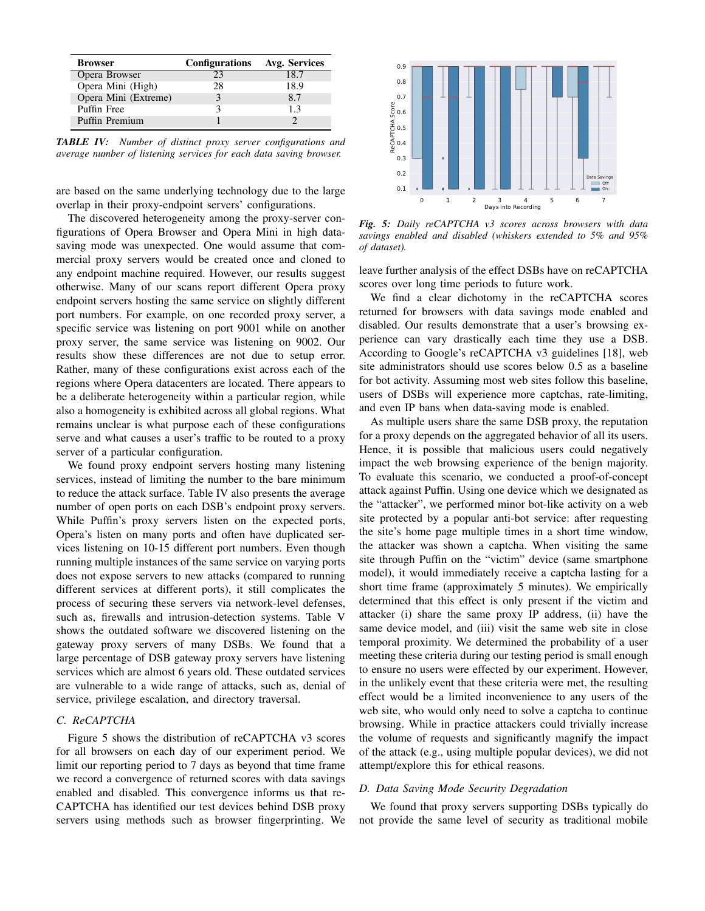| <b>Browser</b>       | <b>Configurations</b> | Avg. Services |
|----------------------|-----------------------|---------------|
| Opera Browser        | 23                    | 18.7          |
| Opera Mini (High)    | 28                    | 18.9          |
| Opera Mini (Extreme) |                       | 8.7           |
| Puffin Free          |                       | 1.3           |
| Puffin Premium       |                       |               |

*TABLE IV: Number of distinct proxy server configurations and average number of listening services for each data saving browser.*

are based on the same underlying technology due to the large overlap in their proxy-endpoint servers' configurations.

The discovered heterogeneity among the proxy-server configurations of Opera Browser and Opera Mini in high datasaving mode was unexpected. One would assume that commercial proxy servers would be created once and cloned to any endpoint machine required. However, our results suggest otherwise. Many of our scans report different Opera proxy endpoint servers hosting the same service on slightly different port numbers. For example, on one recorded proxy server, a specific service was listening on port 9001 while on another proxy server, the same service was listening on 9002. Our results show these differences are not due to setup error. Rather, many of these configurations exist across each of the regions where Opera datacenters are located. There appears to be a deliberate heterogeneity within a particular region, while also a homogeneity is exhibited across all global regions. What remains unclear is what purpose each of these configurations serve and what causes a user's traffic to be routed to a proxy server of a particular configuration.

We found proxy endpoint servers hosting many listening services, instead of limiting the number to the bare minimum to reduce the attack surface. Table IV also presents the average number of open ports on each DSB's endpoint proxy servers. While Puffin's proxy servers listen on the expected ports, Opera's listen on many ports and often have duplicated services listening on 10-15 different port numbers. Even though running multiple instances of the same service on varying ports does not expose servers to new attacks (compared to running different services at different ports), it still complicates the process of securing these servers via network-level defenses, such as, firewalls and intrusion-detection systems. Table V shows the outdated software we discovered listening on the gateway proxy servers of many DSBs. We found that a large percentage of DSB gateway proxy servers have listening services which are almost 6 years old. These outdated services are vulnerable to a wide range of attacks, such as, denial of service, privilege escalation, and directory traversal.

# *C. ReCAPTCHA*

Figure 5 shows the distribution of reCAPTCHA v3 scores for all browsers on each day of our experiment period. We limit our reporting period to 7 days as beyond that time frame we record a convergence of returned scores with data savings enabled and disabled. This convergence informs us that re-CAPTCHA has identified our test devices behind DSB proxy servers using methods such as browser fingerprinting. We



*Fig. 5: Daily reCAPTCHA v3 scores across browsers with data savings enabled and disabled (whiskers extended to 5% and 95% of dataset).*

leave further analysis of the effect DSBs have on reCAPTCHA scores over long time periods to future work.

We find a clear dichotomy in the reCAPTCHA scores returned for browsers with data savings mode enabled and disabled. Our results demonstrate that a user's browsing experience can vary drastically each time they use a DSB. According to Google's reCAPTCHA v3 guidelines [18], web site administrators should use scores below 0.5 as a baseline for bot activity. Assuming most web sites follow this baseline, users of DSBs will experience more captchas, rate-limiting, and even IP bans when data-saving mode is enabled.

As multiple users share the same DSB proxy, the reputation for a proxy depends on the aggregated behavior of all its users. Hence, it is possible that malicious users could negatively impact the web browsing experience of the benign majority. To evaluate this scenario, we conducted a proof-of-concept attack against Puffin. Using one device which we designated as the "attacker", we performed minor bot-like activity on a web site protected by a popular anti-bot service: after requesting the site's home page multiple times in a short time window, the attacker was shown a captcha. When visiting the same site through Puffin on the "victim" device (same smartphone model), it would immediately receive a captcha lasting for a short time frame (approximately 5 minutes). We empirically determined that this effect is only present if the victim and attacker (i) share the same proxy IP address, (ii) have the same device model, and (iii) visit the same web site in close temporal proximity. We determined the probability of a user meeting these criteria during our testing period is small enough to ensure no users were effected by our experiment. However, in the unlikely event that these criteria were met, the resulting effect would be a limited inconvenience to any users of the web site, who would only need to solve a captcha to continue browsing. While in practice attackers could trivially increase the volume of requests and significantly magnify the impact of the attack (e.g., using multiple popular devices), we did not attempt/explore this for ethical reasons.

## *D. Data Saving Mode Security Degradation*

We found that proxy servers supporting DSBs typically do not provide the same level of security as traditional mobile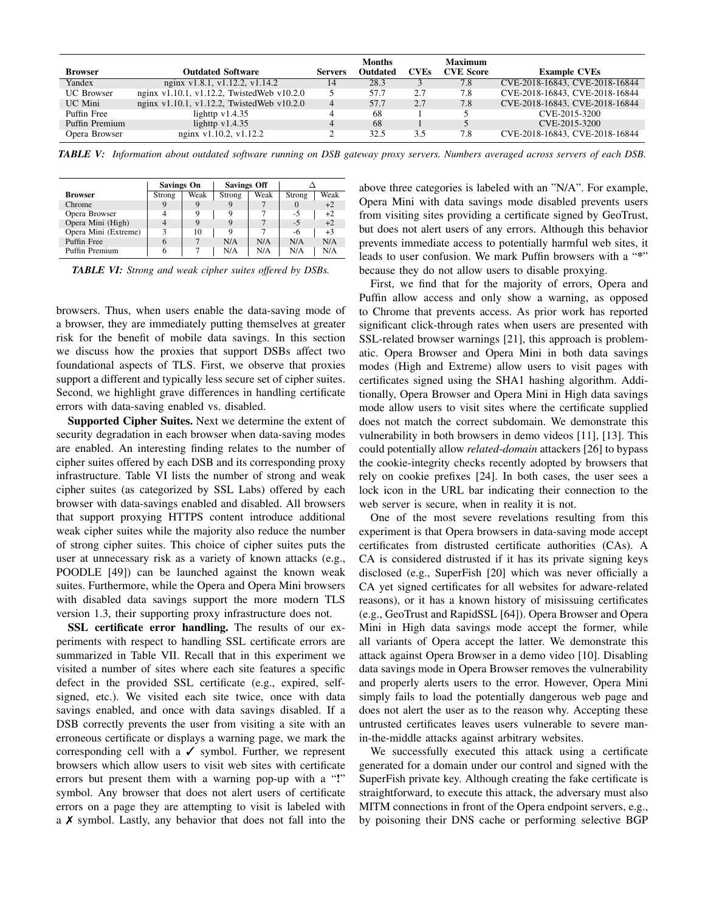|                   |                                                     |                | <b>Months</b>   |             | <b>Maximum</b>   |                                |
|-------------------|-----------------------------------------------------|----------------|-----------------|-------------|------------------|--------------------------------|
| <b>Browser</b>    | <b>Outdated Software</b>                            | <b>Servers</b> | <b>Outdated</b> | <b>CVEs</b> | <b>CVE</b> Score | <b>Example CVEs</b>            |
| Yandex            | nginx v1.8.1, v1.12.2, v1.14.2                      | 14             | 28.3            |             | 7.8              | CVE-2018-16843, CVE-2018-16844 |
| <b>UC</b> Browser | nginx $v1.10.1$ , $v1.12.2$ , Twisted Web $v10.2.0$ |                | 57.7            | 2.7         | 7.8              | CVE-2018-16843, CVE-2018-16844 |
| UC Mini           | nginx v1.10.1, v1.12.2, Twisted Web v10.2.0         | 4              | 57.7            | 2.7         | 7.8              | CVE-2018-16843, CVE-2018-16844 |
| Puffin Free       | lighttp $v1.4.35$                                   |                | 68              |             |                  | CVE-2015-3200                  |
| Puffin Premium    | lighttp $v1.4.35$                                   | $\overline{4}$ | 68              |             |                  | CVE-2015-3200                  |
| Opera Browser     | nginx v1.10.2, v1.12.2                              |                | 32.5            | 3.5         | 7.8              | CVE-2018-16843, CVE-2018-16844 |

*TABLE V: Information about outdated software running on DSB gateway proxy servers. Numbers averaged across servers of each DSB.*

|                      | <b>Savings On</b> |    | <b>Savings Off</b> |      |        |      |  |
|----------------------|-------------------|----|--------------------|------|--------|------|--|
| <b>Browser</b>       | Weak<br>Strong    |    | Strong             | Weak | Strong | Weak |  |
| Chrome               |                   | Q  |                    |      |        | $+2$ |  |
| Opera Browser        |                   | 9  |                    |      | -5     | $+2$ |  |
| Opera Mini (High)    |                   | 9  |                    |      | $-5$   | $+2$ |  |
| Opera Mini (Extreme) | 3                 | 10 |                    |      | -6     | $+3$ |  |
| Puffin Free          | 6                 | 7  | N/A                | N/A  | N/A    | N/A  |  |
| Puffin Premium       |                   |    | N/A                | N/A  | N/A    | N/A  |  |

*TABLE VI: Strong and weak cipher suites offered by DSBs.*

browsers. Thus, when users enable the data-saving mode of a browser, they are immediately putting themselves at greater risk for the benefit of mobile data savings. In this section we discuss how the proxies that support DSBs affect two foundational aspects of TLS. First, we observe that proxies support a different and typically less secure set of cipher suites. Second, we highlight grave differences in handling certificate errors with data-saving enabled vs. disabled.

Supported Cipher Suites. Next we determine the extent of security degradation in each browser when data-saving modes are enabled. An interesting finding relates to the number of cipher suites offered by each DSB and its corresponding proxy infrastructure. Table VI lists the number of strong and weak cipher suites (as categorized by SSL Labs) offered by each browser with data-savings enabled and disabled. All browsers that support proxying HTTPS content introduce additional weak cipher suites while the majority also reduce the number of strong cipher suites. This choice of cipher suites puts the user at unnecessary risk as a variety of known attacks (e.g., POODLE [49]) can be launched against the known weak suites. Furthermore, while the Opera and Opera Mini browsers with disabled data savings support the more modern TLS version 1.3, their supporting proxy infrastructure does not.

SSL certificate error handling. The results of our experiments with respect to handling SSL certificate errors are summarized in Table VII. Recall that in this experiment we visited a number of sites where each site features a specific defect in the provided SSL certificate (e.g., expired, selfsigned, etc.). We visited each site twice, once with data savings enabled, and once with data savings disabled. If a DSB correctly prevents the user from visiting a site with an erroneous certificate or displays a warning page, we mark the corresponding cell with a ✓ symbol. Further, we represent browsers which allow users to visit web sites with certificate errors but present them with a warning pop-up with a "!" symbol. Any browser that does not alert users of certificate errors on a page they are attempting to visit is labeled with a  $\chi$  symbol. Lastly, any behavior that does not fall into the

above three categories is labeled with an "N/A". For example, Opera Mini with data savings mode disabled prevents users from visiting sites providing a certificate signed by GeoTrust, but does not alert users of any errors. Although this behavior prevents immediate access to potentially harmful web sites, it leads to user confusion. We mark Puffin browsers with a "\*" because they do not allow users to disable proxying.

First, we find that for the majority of errors, Opera and Puffin allow access and only show a warning, as opposed to Chrome that prevents access. As prior work has reported significant click-through rates when users are presented with SSL-related browser warnings [21], this approach is problematic. Opera Browser and Opera Mini in both data savings modes (High and Extreme) allow users to visit pages with certificates signed using the SHA1 hashing algorithm. Additionally, Opera Browser and Opera Mini in High data savings mode allow users to visit sites where the certificate supplied does not match the correct subdomain. We demonstrate this vulnerability in both browsers in demo videos [11], [13]. This could potentially allow *related-domain* attackers [26] to bypass the cookie-integrity checks recently adopted by browsers that rely on cookie prefixes [24]. In both cases, the user sees a lock icon in the URL bar indicating their connection to the web server is secure, when in reality it is not.

One of the most severe revelations resulting from this experiment is that Opera browsers in data-saving mode accept certificates from distrusted certificate authorities (CAs). A CA is considered distrusted if it has its private signing keys disclosed (e.g., SuperFish [20] which was never officially a CA yet signed certificates for all websites for adware-related reasons), or it has a known history of misissuing certificates (e.g., GeoTrust and RapidSSL [64]). Opera Browser and Opera Mini in High data savings mode accept the former, while all variants of Opera accept the latter. We demonstrate this attack against Opera Browser in a demo video [10]. Disabling data savings mode in Opera Browser removes the vulnerability and properly alerts users to the error. However, Opera Mini simply fails to load the potentially dangerous web page and does not alert the user as to the reason why. Accepting these untrusted certificates leaves users vulnerable to severe manin-the-middle attacks against arbitrary websites.

We successfully executed this attack using a certificate generated for a domain under our control and signed with the SuperFish private key. Although creating the fake certificate is straightforward, to execute this attack, the adversary must also MITM connections in front of the Opera endpoint servers, e.g., by poisoning their DNS cache or performing selective BGP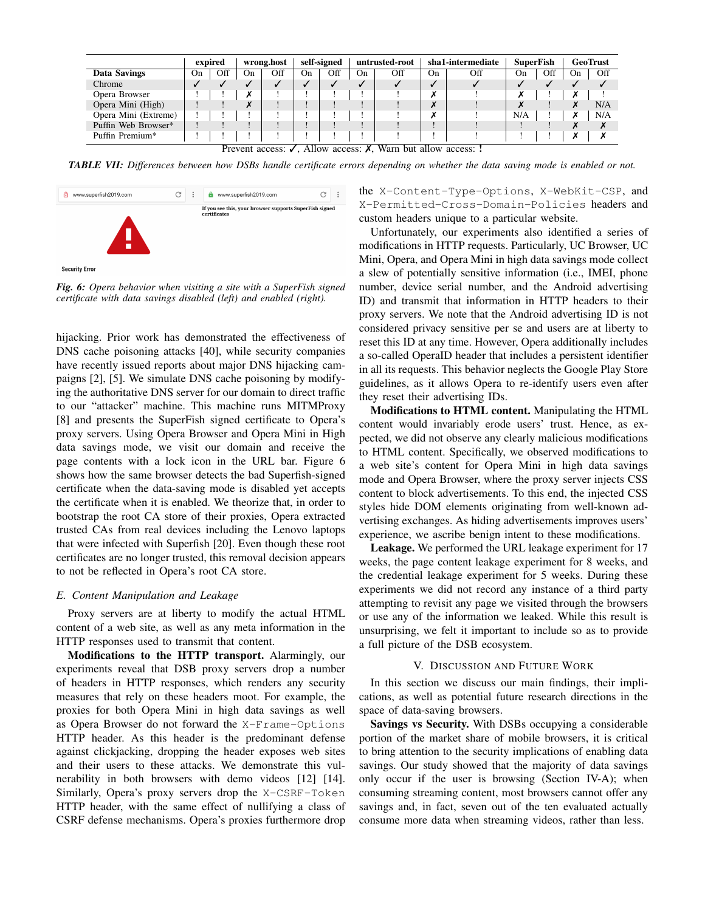|                      |    | expired |    | wrong.host | self-signed<br>untrusted-root |     | sha1-intermediate |                                                                            | <b>SuperFish</b> |     | GeoTrust |     |     |     |
|----------------------|----|---------|----|------------|-------------------------------|-----|-------------------|----------------------------------------------------------------------------|------------------|-----|----------|-----|-----|-----|
| <b>Data Savings</b>  | On | Off     | On | Off        | On                            | Off | On                | Off                                                                        | On               | Off | On       | Off | On) | Off |
| Chrome               |    |         |    |            |                               |     |                   |                                                                            |                  |     |          |     |     |     |
| Opera Browser        |    |         |    |            |                               |     |                   |                                                                            |                  |     |          |     |     |     |
| Opera Mini (High)    |    |         |    |            |                               |     |                   |                                                                            |                  |     |          |     |     | N/A |
| Opera Mini (Extreme) |    |         |    |            |                               |     |                   |                                                                            |                  |     | N/A      |     |     | N/A |
| Puffin Web Browser*  |    |         |    |            |                               |     |                   |                                                                            |                  |     |          |     |     |     |
| Puffin Premium*      |    |         |    |            |                               |     |                   |                                                                            |                  |     |          |     |     |     |
|                      |    |         |    |            |                               |     |                   | Prevent access: $\angle$ , Allow access: $\angle$ , Warn but allow access: |                  |     |          |     |     |     |

*TABLE VII: Differences between how DSBs handle certificate errors depending on whether the data saving mode is enabled or not.*

h www.superfish2019.com  $C$  : www.superfish2019.com  $C$  : If you see this, your browser supports SuperFish signed<br>certificates



*Fig. 6: Opera behavior when visiting a site with a SuperFish signed certificate with data savings disabled (left) and enabled (right).*

hijacking. Prior work has demonstrated the effectiveness of DNS cache poisoning attacks [40], while security companies have recently issued reports about major DNS hijacking campaigns [2], [5]. We simulate DNS cache poisoning by modifying the authoritative DNS server for our domain to direct traffic to our "attacker" machine. This machine runs MITMProxy [8] and presents the SuperFish signed certificate to Opera's proxy servers. Using Opera Browser and Opera Mini in High data savings mode, we visit our domain and receive the page contents with a lock icon in the URL bar. Figure 6 shows how the same browser detects the bad Superfish-signed certificate when the data-saving mode is disabled yet accepts the certificate when it is enabled. We theorize that, in order to bootstrap the root CA store of their proxies, Opera extracted trusted CAs from real devices including the Lenovo laptops that were infected with Superfish [20]. Even though these root certificates are no longer trusted, this removal decision appears to not be reflected in Opera's root CA store.

# *E. Content Manipulation and Leakage*

Proxy servers are at liberty to modify the actual HTML content of a web site, as well as any meta information in the HTTP responses used to transmit that content.

Modifications to the HTTP transport. Alarmingly, our experiments reveal that DSB proxy servers drop a number of headers in HTTP responses, which renders any security measures that rely on these headers moot. For example, the proxies for both Opera Mini in high data savings as well as Opera Browser do not forward the X-Frame-Options HTTP header. As this header is the predominant defense against clickjacking, dropping the header exposes web sites and their users to these attacks. We demonstrate this vulnerability in both browsers with demo videos [12] [14]. Similarly, Opera's proxy servers drop the X-CSRF-Token HTTP header, with the same effect of nullifying a class of CSRF defense mechanisms. Opera's proxies furthermore drop the X-Content-Type-Options, X-WebKit-CSP, and X-Permitted-Cross-Domain-Policies headers and custom headers unique to a particular website.

Unfortunately, our experiments also identified a series of modifications in HTTP requests. Particularly, UC Browser, UC Mini, Opera, and Opera Mini in high data savings mode collect a slew of potentially sensitive information (i.e., IMEI, phone number, device serial number, and the Android advertising ID) and transmit that information in HTTP headers to their proxy servers. We note that the Android advertising ID is not considered privacy sensitive per se and users are at liberty to reset this ID at any time. However, Opera additionally includes a so-called OperaID header that includes a persistent identifier in all its requests. This behavior neglects the Google Play Store guidelines, as it allows Opera to re-identify users even after they reset their advertising IDs.

Modifications to HTML content. Manipulating the HTML content would invariably erode users' trust. Hence, as expected, we did not observe any clearly malicious modifications to HTML content. Specifically, we observed modifications to a web site's content for Opera Mini in high data savings mode and Opera Browser, where the proxy server injects CSS content to block advertisements. To this end, the injected CSS styles hide DOM elements originating from well-known advertising exchanges. As hiding advertisements improves users' experience, we ascribe benign intent to these modifications.

Leakage. We performed the URL leakage experiment for 17 weeks, the page content leakage experiment for 8 weeks, and the credential leakage experiment for 5 weeks. During these experiments we did not record any instance of a third party attempting to revisit any page we visited through the browsers or use any of the information we leaked. While this result is unsurprising, we felt it important to include so as to provide a full picture of the DSB ecosystem.

## V. DISCUSSION AND FUTURE WORK

In this section we discuss our main findings, their implications, as well as potential future research directions in the space of data-saving browsers.

Savings vs Security. With DSBs occupying a considerable portion of the market share of mobile browsers, it is critical to bring attention to the security implications of enabling data savings. Our study showed that the majority of data savings only occur if the user is browsing (Section IV-A); when consuming streaming content, most browsers cannot offer any savings and, in fact, seven out of the ten evaluated actually consume more data when streaming videos, rather than less.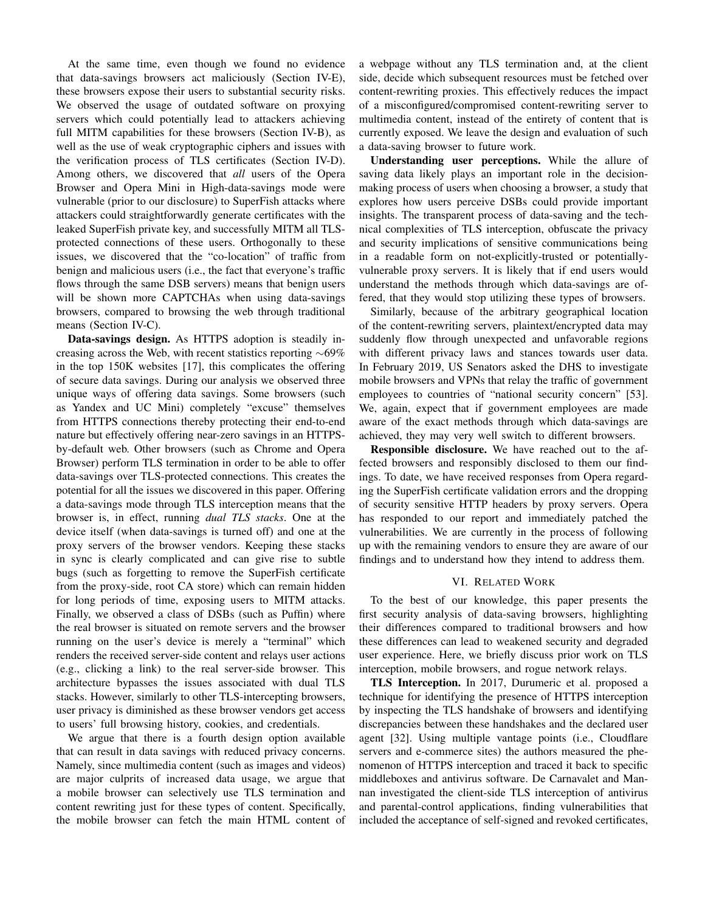At the same time, even though we found no evidence that data-savings browsers act maliciously (Section IV-E), these browsers expose their users to substantial security risks. We observed the usage of outdated software on proxying servers which could potentially lead to attackers achieving full MITM capabilities for these browsers (Section IV-B), as well as the use of weak cryptographic ciphers and issues with the verification process of TLS certificates (Section IV-D). Among others, we discovered that *all* users of the Opera Browser and Opera Mini in High-data-savings mode were vulnerable (prior to our disclosure) to SuperFish attacks where attackers could straightforwardly generate certificates with the leaked SuperFish private key, and successfully MITM all TLSprotected connections of these users. Orthogonally to these issues, we discovered that the "co-location" of traffic from benign and malicious users (i.e., the fact that everyone's traffic flows through the same DSB servers) means that benign users will be shown more CAPTCHAs when using data-savings browsers, compared to browsing the web through traditional means (Section IV-C).

Data-savings design. As HTTPS adoption is steadily increasing across the Web, with recent statistics reporting ∼69% in the top 150K websites [17], this complicates the offering of secure data savings. During our analysis we observed three unique ways of offering data savings. Some browsers (such as Yandex and UC Mini) completely "excuse" themselves from HTTPS connections thereby protecting their end-to-end nature but effectively offering near-zero savings in an HTTPSby-default web. Other browsers (such as Chrome and Opera Browser) perform TLS termination in order to be able to offer data-savings over TLS-protected connections. This creates the potential for all the issues we discovered in this paper. Offering a data-savings mode through TLS interception means that the browser is, in effect, running *dual TLS stacks*. One at the device itself (when data-savings is turned off) and one at the proxy servers of the browser vendors. Keeping these stacks in sync is clearly complicated and can give rise to subtle bugs (such as forgetting to remove the SuperFish certificate from the proxy-side, root CA store) which can remain hidden for long periods of time, exposing users to MITM attacks. Finally, we observed a class of DSBs (such as Puffin) where the real browser is situated on remote servers and the browser running on the user's device is merely a "terminal" which renders the received server-side content and relays user actions (e.g., clicking a link) to the real server-side browser. This architecture bypasses the issues associated with dual TLS stacks. However, similarly to other TLS-intercepting browsers, user privacy is diminished as these browser vendors get access to users' full browsing history, cookies, and credentials.

We argue that there is a fourth design option available that can result in data savings with reduced privacy concerns. Namely, since multimedia content (such as images and videos) are major culprits of increased data usage, we argue that a mobile browser can selectively use TLS termination and content rewriting just for these types of content. Specifically, the mobile browser can fetch the main HTML content of a webpage without any TLS termination and, at the client side, decide which subsequent resources must be fetched over content-rewriting proxies. This effectively reduces the impact of a misconfigured/compromised content-rewriting server to multimedia content, instead of the entirety of content that is currently exposed. We leave the design and evaluation of such a data-saving browser to future work.

Understanding user perceptions. While the allure of saving data likely plays an important role in the decisionmaking process of users when choosing a browser, a study that explores how users perceive DSBs could provide important insights. The transparent process of data-saving and the technical complexities of TLS interception, obfuscate the privacy and security implications of sensitive communications being in a readable form on not-explicitly-trusted or potentiallyvulnerable proxy servers. It is likely that if end users would understand the methods through which data-savings are offered, that they would stop utilizing these types of browsers.

Similarly, because of the arbitrary geographical location of the content-rewriting servers, plaintext/encrypted data may suddenly flow through unexpected and unfavorable regions with different privacy laws and stances towards user data. In February 2019, US Senators asked the DHS to investigate mobile browsers and VPNs that relay the traffic of government employees to countries of "national security concern" [53]. We, again, expect that if government employees are made aware of the exact methods through which data-savings are achieved, they may very well switch to different browsers.

Responsible disclosure. We have reached out to the affected browsers and responsibly disclosed to them our findings. To date, we have received responses from Opera regarding the SuperFish certificate validation errors and the dropping of security sensitive HTTP headers by proxy servers. Opera has responded to our report and immediately patched the vulnerabilities. We are currently in the process of following up with the remaining vendors to ensure they are aware of our findings and to understand how they intend to address them.

# VI. RELATED WORK

To the best of our knowledge, this paper presents the first security analysis of data-saving browsers, highlighting their differences compared to traditional browsers and how these differences can lead to weakened security and degraded user experience. Here, we briefly discuss prior work on TLS interception, mobile browsers, and rogue network relays.

TLS Interception. In 2017, Durumeric et al. proposed a technique for identifying the presence of HTTPS interception by inspecting the TLS handshake of browsers and identifying discrepancies between these handshakes and the declared user agent [32]. Using multiple vantage points (i.e., Cloudflare servers and e-commerce sites) the authors measured the phenomenon of HTTPS interception and traced it back to specific middleboxes and antivirus software. De Carnavalet and Mannan investigated the client-side TLS interception of antivirus and parental-control applications, finding vulnerabilities that included the acceptance of self-signed and revoked certificates,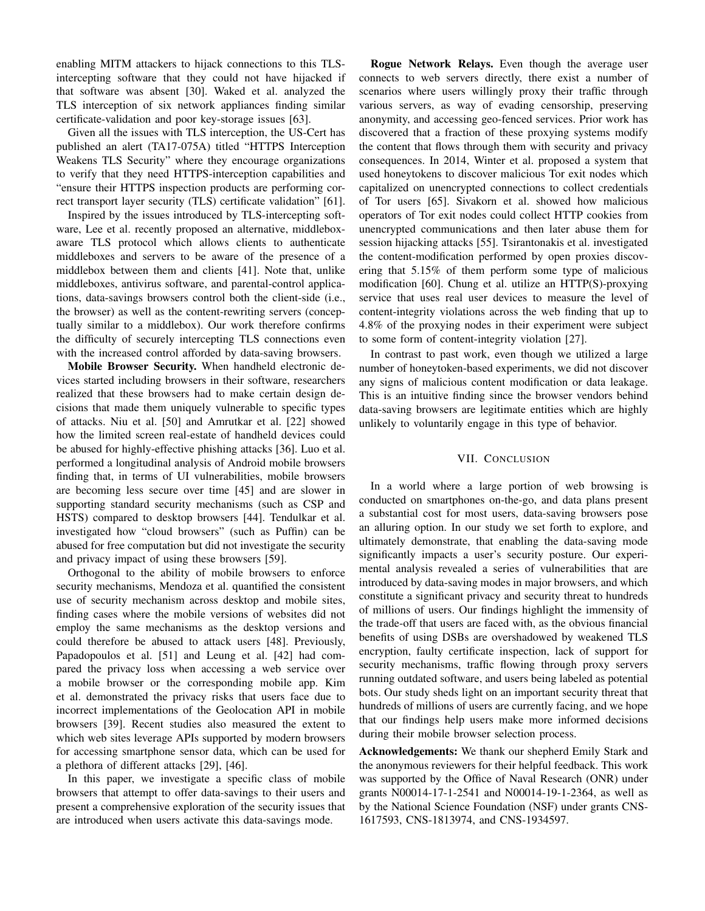enabling MITM attackers to hijack connections to this TLSintercepting software that they could not have hijacked if that software was absent [30]. Waked et al. analyzed the TLS interception of six network appliances finding similar certificate-validation and poor key-storage issues [63].

Given all the issues with TLS interception, the US-Cert has published an alert (TA17-075A) titled "HTTPS Interception Weakens TLS Security" where they encourage organizations to verify that they need HTTPS-interception capabilities and "ensure their HTTPS inspection products are performing correct transport layer security (TLS) certificate validation" [61].

Inspired by the issues introduced by TLS-intercepting software, Lee et al. recently proposed an alternative, middleboxaware TLS protocol which allows clients to authenticate middleboxes and servers to be aware of the presence of a middlebox between them and clients [41]. Note that, unlike middleboxes, antivirus software, and parental-control applications, data-savings browsers control both the client-side (i.e., the browser) as well as the content-rewriting servers (conceptually similar to a middlebox). Our work therefore confirms the difficulty of securely intercepting TLS connections even with the increased control afforded by data-saving browsers.

Mobile Browser Security. When handheld electronic devices started including browsers in their software, researchers realized that these browsers had to make certain design decisions that made them uniquely vulnerable to specific types of attacks. Niu et al. [50] and Amrutkar et al. [22] showed how the limited screen real-estate of handheld devices could be abused for highly-effective phishing attacks [36]. Luo et al. performed a longitudinal analysis of Android mobile browsers finding that, in terms of UI vulnerabilities, mobile browsers are becoming less secure over time [45] and are slower in supporting standard security mechanisms (such as CSP and HSTS) compared to desktop browsers [44]. Tendulkar et al. investigated how "cloud browsers" (such as Puffin) can be abused for free computation but did not investigate the security and privacy impact of using these browsers [59].

Orthogonal to the ability of mobile browsers to enforce security mechanisms, Mendoza et al. quantified the consistent use of security mechanism across desktop and mobile sites, finding cases where the mobile versions of websites did not employ the same mechanisms as the desktop versions and could therefore be abused to attack users [48]. Previously, Papadopoulos et al. [51] and Leung et al. [42] had compared the privacy loss when accessing a web service over a mobile browser or the corresponding mobile app. Kim et al. demonstrated the privacy risks that users face due to incorrect implementations of the Geolocation API in mobile browsers [39]. Recent studies also measured the extent to which web sites leverage APIs supported by modern browsers for accessing smartphone sensor data, which can be used for a plethora of different attacks [29], [46].

In this paper, we investigate a specific class of mobile browsers that attempt to offer data-savings to their users and present a comprehensive exploration of the security issues that are introduced when users activate this data-savings mode.

Rogue Network Relays. Even though the average user connects to web servers directly, there exist a number of scenarios where users willingly proxy their traffic through various servers, as way of evading censorship, preserving anonymity, and accessing geo-fenced services. Prior work has discovered that a fraction of these proxying systems modify the content that flows through them with security and privacy consequences. In 2014, Winter et al. proposed a system that used honeytokens to discover malicious Tor exit nodes which capitalized on unencrypted connections to collect credentials of Tor users [65]. Sivakorn et al. showed how malicious operators of Tor exit nodes could collect HTTP cookies from unencrypted communications and then later abuse them for session hijacking attacks [55]. Tsirantonakis et al. investigated the content-modification performed by open proxies discovering that 5.15% of them perform some type of malicious modification [60]. Chung et al. utilize an HTTP(S)-proxying service that uses real user devices to measure the level of content-integrity violations across the web finding that up to 4.8% of the proxying nodes in their experiment were subject to some form of content-integrity violation [27].

In contrast to past work, even though we utilized a large number of honeytoken-based experiments, we did not discover any signs of malicious content modification or data leakage. This is an intuitive finding since the browser vendors behind data-saving browsers are legitimate entities which are highly unlikely to voluntarily engage in this type of behavior.

## VII. CONCLUSION

In a world where a large portion of web browsing is conducted on smartphones on-the-go, and data plans present a substantial cost for most users, data-saving browsers pose an alluring option. In our study we set forth to explore, and ultimately demonstrate, that enabling the data-saving mode significantly impacts a user's security posture. Our experimental analysis revealed a series of vulnerabilities that are introduced by data-saving modes in major browsers, and which constitute a significant privacy and security threat to hundreds of millions of users. Our findings highlight the immensity of the trade-off that users are faced with, as the obvious financial benefits of using DSBs are overshadowed by weakened TLS encryption, faulty certificate inspection, lack of support for security mechanisms, traffic flowing through proxy servers running outdated software, and users being labeled as potential bots. Our study sheds light on an important security threat that hundreds of millions of users are currently facing, and we hope that our findings help users make more informed decisions during their mobile browser selection process.

Acknowledgements: We thank our shepherd Emily Stark and the anonymous reviewers for their helpful feedback. This work was supported by the Office of Naval Research (ONR) under grants N00014-17-1-2541 and N00014-19-1-2364, as well as by the National Science Foundation (NSF) under grants CNS-1617593, CNS-1813974, and CNS-1934597.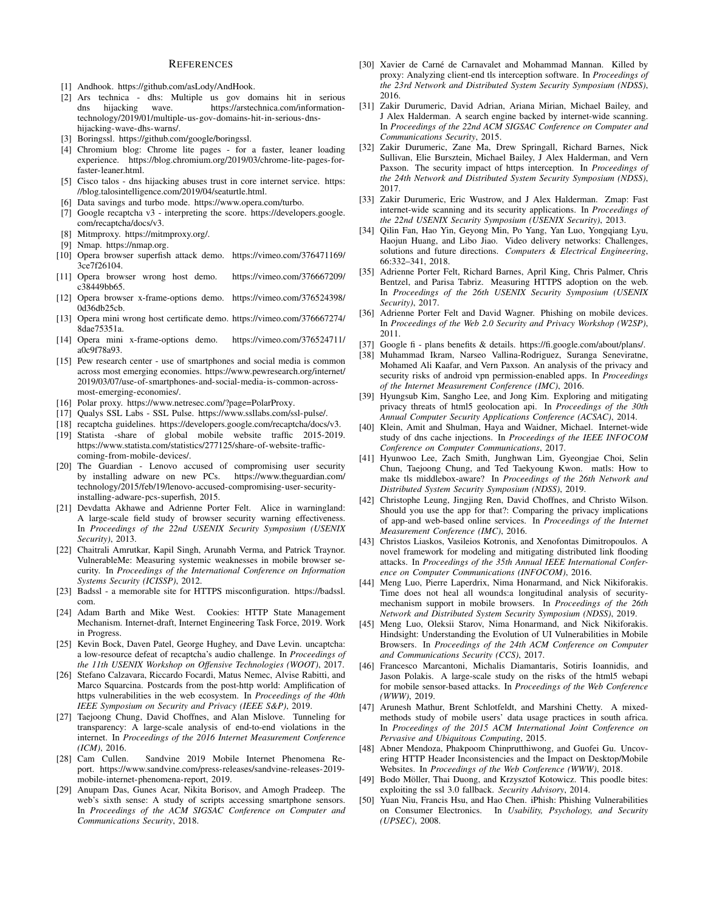#### **REFERENCES**

- [1] Andhook. https://github.com/asLody/AndHook.
- [2] Ars technica dhs: Multiple us gov domains hit in serious dns hijacking wave. https://arstechnica.com/informationtechnology/2019/01/multiple-us-gov-domains-hit-in-serious-dnshijacking-wave-dhs-warns/.
- [3] Boringssl. https://github.com/google/boringssl.
- [4] Chromium blog: Chrome lite pages for a faster, leaner loading experience. https://blog.chromium.org/2019/03/chrome-lite-pages-forfaster-leaner.html.
- [5] Cisco talos dns hijacking abuses trust in core internet service. https: //blog.talosintelligence.com/2019/04/seaturtle.html.
- [6] Data savings and turbo mode. https://www.opera.com/turbo.
- [7] Google recaptcha v3 interpreting the score. https://developers.google. com/recaptcha/docs/v3.
- [8] Mitmproxy. https://mitmproxy.org/.
- [9] Nmap. https://nmap.org.
- [10] Opera browser superfish attack demo. https://vimeo.com/376471169/ 3ce7f26104.
- [11] Opera browser wrong host demo. https://vimeo.com/376667209/ c38449bb65.
- [12] Opera browser x-frame-options demo. https://vimeo.com/376524398/ 0d36db25cb.
- [13] Opera mini wrong host certificate demo. https://vimeo.com/376667274/ 8dae75351a.
- [14] Opera mini x-frame-options demo. https://vimeo.com/376524711/ a0c9f78a93.
- [15] Pew research center use of smartphones and social media is common across most emerging economies. https://www.pewresearch.org/internet/ 2019/03/07/use-of-smartphones-and-social-media-is-common-acrossmost-emerging-economies/.
- [16] Polar proxy. https://www.netresec.com/?page=PolarProxy.
- [17] Qualys SSL Labs SSL Pulse. https://www.ssllabs.com/ssl-pulse/.
- [18] recaptcha guidelines. https://developers.google.com/recaptcha/docs/v3.
- [19] Statista -share of global mobile website traffic 2015-2019. https://www.statista.com/statistics/277125/share-of-website-trafficcoming-from-mobile-devices/.
- [20] The Guardian Lenovo accused of compromising user security by installing adware on new PCs. https://www.theguardian.com/ technology/2015/feb/19/lenovo-accused-compromising-user-securityinstalling-adware-pcs-superfish, 2015.
- [21] Devdatta Akhawe and Adrienne Porter Felt. Alice in warningland: A large-scale field study of browser security warning effectiveness. In *Proceedings of the 22nd USENIX Security Symposium (USENIX Security)*, 2013.
- [22] Chaitrali Amrutkar, Kapil Singh, Arunabh Verma, and Patrick Traynor. VulnerableMe: Measuring systemic weaknesses in mobile browser security. In *Proceedings of the International Conference on Information Systems Security (ICISSP)*, 2012.
- [23] Badssl a memorable site for HTTPS misconfiguration. https://badssl. com.
- [24] Adam Barth and Mike West. Cookies: HTTP State Management Mechanism. Internet-draft, Internet Engineering Task Force, 2019. Work in Progress.
- [25] Kevin Bock, Daven Patel, George Hughey, and Dave Levin. uncaptcha: a low-resource defeat of recaptcha's audio challenge. In *Proceedings of the 11th USENIX Workshop on Offensive Technologies (WOOT)*, 2017.
- [26] Stefano Calzavara, Riccardo Focardi, Matus Nemec, Alvise Rabitti, and Marco Squarcina. Postcards from the post-http world: Amplification of https vulnerabilities in the web ecosystem. In *Proceedings of the 40th IEEE Symposium on Security and Privacy (IEEE S&P)*, 2019.
- [27] Taejoong Chung, David Choffnes, and Alan Mislove. Tunneling for transparency: A large-scale analysis of end-to-end violations in the internet. In *Proceedings of the 2016 Internet Measurement Conference (ICM)*, 2016.
- [28] Cam Cullen. Sandvine 2019 Mobile Internet Phenomena Report. https://www.sandvine.com/press-releases/sandvine-releases-2019 mobile-internet-phenomena-report, 2019.
- [29] Anupam Das, Gunes Acar, Nikita Borisov, and Amogh Pradeep. The web's sixth sense: A study of scripts accessing smartphone sensors. In *Proceedings of the ACM SIGSAC Conference on Computer and Communications Security*, 2018.
- [30] Xavier de Carné de Carnavalet and Mohammad Mannan. Killed by proxy: Analyzing client-end tls interception software. In *Proceedings of the 23rd Network and Distributed System Security Symposium (NDSS)*, 2016.
- [31] Zakir Durumeric, David Adrian, Ariana Mirian, Michael Bailey, and J Alex Halderman. A search engine backed by internet-wide scanning. In *Proceedings of the 22nd ACM SIGSAC Conference on Computer and Communications Security*, 2015.
- [32] Zakir Durumeric, Zane Ma, Drew Springall, Richard Barnes, Nick Sullivan, Elie Bursztein, Michael Bailey, J Alex Halderman, and Vern Paxson. The security impact of https interception. In *Proceedings of the 24th Network and Distributed System Security Symposium (NDSS)*, 2017.
- [33] Zakir Durumeric, Eric Wustrow, and J Alex Halderman. Zmap: Fast internet-wide scanning and its security applications. In *Proceedings of the 22nd USENIX Security Symposium (USENIX Security)*, 2013.
- [34] Qilin Fan, Hao Yin, Geyong Min, Po Yang, Yan Luo, Yongqiang Lyu, Haojun Huang, and Libo Jiao. Video delivery networks: Challenges, solutions and future directions. *Computers & Electrical Engineering*, 66:332–341, 2018.
- [35] Adrienne Porter Felt, Richard Barnes, April King, Chris Palmer, Chris Bentzel, and Parisa Tabriz. Measuring HTTPS adoption on the web. In *Proceedings of the 26th USENIX Security Symposium (USENIX Security)*, 2017.
- [36] Adrienne Porter Felt and David Wagner. Phishing on mobile devices. In *Proceedings of the Web 2.0 Security and Privacy Workshop (W2SP)*, 2011.
- [37] Google fi plans benefits & details. https://fi.google.com/about/plans/.
- [38] Muhammad Ikram, Narseo Vallina-Rodriguez, Suranga Seneviratne, Mohamed Ali Kaafar, and Vern Paxson. An analysis of the privacy and security risks of android vpn permission-enabled apps. In *Proceedings of the Internet Measurement Conference (IMC)*, 2016.
- [39] Hyungsub Kim, Sangho Lee, and Jong Kim. Exploring and mitigating privacy threats of html5 geolocation api. In *Proceedings of the 30th Annual Computer Security Applications Conference (ACSAC)*, 2014.
- [40] Klein, Amit and Shulman, Haya and Waidner, Michael. Internet-wide study of dns cache injections. In *Proceedings of the IEEE INFOCOM Conference on Computer Communications*, 2017.
- [41] Hyunwoo Lee, Zach Smith, Junghwan Lim, Gyeongjae Choi, Selin Chun, Taejoong Chung, and Ted Taekyoung Kwon. matls: How to make tls middlebox-aware? In *Proceedings of the 26th Network and Distributed System Security Symposium (NDSS)*, 2019.
- [42] Christophe Leung, Jingjing Ren, David Choffnes, and Christo Wilson. Should you use the app for that?: Comparing the privacy implications of app-and web-based online services. In *Proceedings of the Internet Measurement Conference (IMC)*, 2016.
- [43] Christos Liaskos, Vasileios Kotronis, and Xenofontas Dimitropoulos. A novel framework for modeling and mitigating distributed link flooding attacks. In *Proceedings of the 35th Annual IEEE International Conference on Computer Communications (INFOCOM)*, 2016.
- [44] Meng Luo, Pierre Laperdrix, Nima Honarmand, and Nick Nikiforakis. Time does not heal all wounds:a longitudinal analysis of securitymechanism support in mobile browsers. In *Proceedings of the 26th Network and Distributed System Security Symposium (NDSS)*, 2019.
- [45] Meng Luo, Oleksii Starov, Nima Honarmand, and Nick Nikiforakis. Hindsight: Understanding the Evolution of UI Vulnerabilities in Mobile Browsers. In *Proceedings of the 24th ACM Conference on Computer and Communications Security (CCS)*, 2017.
- [46] Francesco Marcantoni, Michalis Diamantaris, Sotiris Ioannidis, and Jason Polakis. A large-scale study on the risks of the html5 webapi for mobile sensor-based attacks. In *Proceedings of the Web Conference (WWW)*, 2019.
- [47] Arunesh Mathur, Brent Schlotfeldt, and Marshini Chetty. A mixedmethods study of mobile users' data usage practices in south africa. In *Proceedings of the 2015 ACM International Joint Conference on Pervasive and Ubiquitous Computing*, 2015.
- [48] Abner Mendoza, Phakpoom Chinprutthiwong, and Guofei Gu. Uncovering HTTP Header Inconsistencies and the Impact on Desktop/Mobile Websites. In *Proceedings of the Web Conference (WWW)*, 2018.
- [49] Bodo Möller, Thai Duong, and Krzysztof Kotowicz. This poodle bites: exploiting the ssl 3.0 fallback. *Security Advisory*, 2014.
- [50] Yuan Niu, Francis Hsu, and Hao Chen. iPhish: Phishing Vulnerabilities on Consumer Electronics. In *Usability, Psychology, and Security (UPSEC)*, 2008.